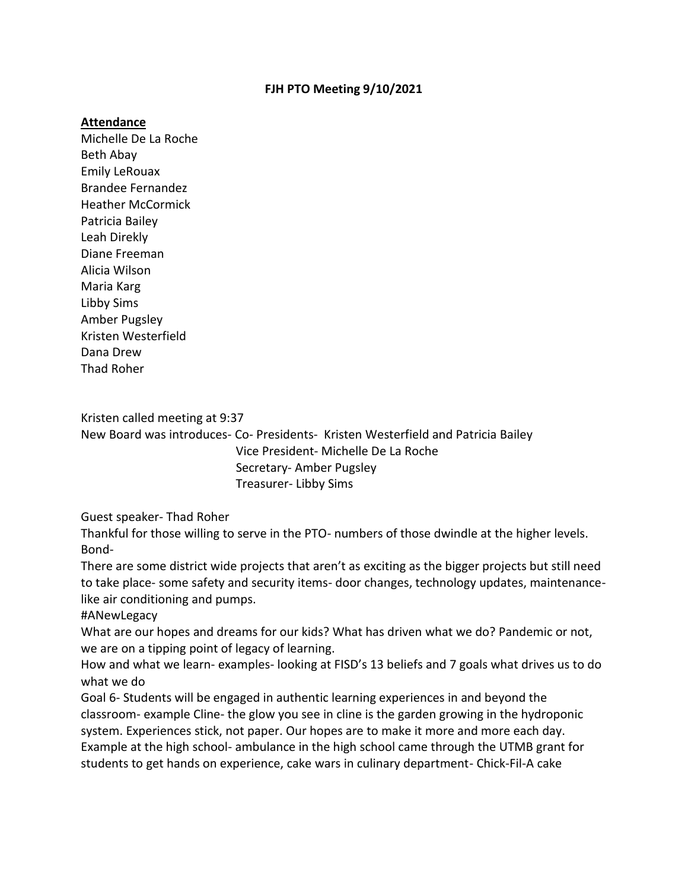## **FJH PTO Meeting 9/10/2021**

## **Attendance**

Michelle De La Roche Beth Abay Emily LeRouax Brandee Fernandez Heather McCormick Patricia Bailey Leah Direkly Diane Freeman Alicia Wilson Maria Karg Libby Sims Amber Pugsley Kristen Westerfield Dana Drew Thad Roher

Kristen called meeting at 9:37 New Board was introduces- Co- Presidents- Kristen Westerfield and Patricia Bailey Vice President- Michelle De La Roche Secretary- Amber Pugsley Treasurer- Libby Sims

Guest speaker- Thad Roher

Thankful for those willing to serve in the PTO- numbers of those dwindle at the higher levels. Bond-

There are some district wide projects that aren't as exciting as the bigger projects but still need to take place- some safety and security items- door changes, technology updates, maintenancelike air conditioning and pumps.

#ANewLegacy

What are our hopes and dreams for our kids? What has driven what we do? Pandemic or not, we are on a tipping point of legacy of learning.

How and what we learn- examples- looking at FISD's 13 beliefs and 7 goals what drives us to do what we do

Goal 6- Students will be engaged in authentic learning experiences in and beyond the classroom- example Cline- the glow you see in cline is the garden growing in the hydroponic system. Experiences stick, not paper. Our hopes are to make it more and more each day. Example at the high school- ambulance in the high school came through the UTMB grant for students to get hands on experience, cake wars in culinary department- Chick-Fil-A cake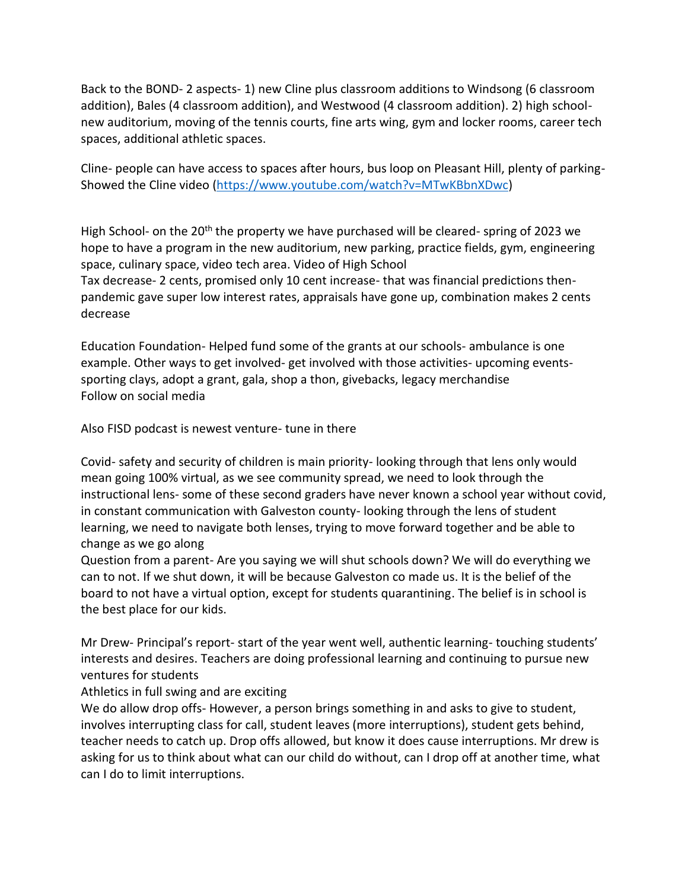Back to the BOND- 2 aspects- 1) new Cline plus classroom additions to Windsong (6 classroom addition), Bales (4 classroom addition), and Westwood (4 classroom addition). 2) high schoolnew auditorium, moving of the tennis courts, fine arts wing, gym and locker rooms, career tech spaces, additional athletic spaces.

Cline- people can have access to spaces after hours, bus loop on Pleasant Hill, plenty of parking-Showed the Cline video [\(https://www.youtube.com/watch?v=MTwKBbnXDwc\)](https://www.youtube.com/watch?v=MTwKBbnXDwc)

High School- on the  $20<sup>th</sup>$  the property we have purchased will be cleared- spring of 2023 we hope to have a program in the new auditorium, new parking, practice fields, gym, engineering space, culinary space, video tech area. Video of High School Tax decrease- 2 cents, promised only 10 cent increase- that was financial predictions thenpandemic gave super low interest rates, appraisals have gone up, combination makes 2 cents decrease

Education Foundation- Helped fund some of the grants at our schools- ambulance is one example. Other ways to get involved- get involved with those activities- upcoming eventssporting clays, adopt a grant, gala, shop a thon, givebacks, legacy merchandise Follow on social media

Also FISD podcast is newest venture- tune in there

Covid- safety and security of children is main priority- looking through that lens only would mean going 100% virtual, as we see community spread, we need to look through the instructional lens- some of these second graders have never known a school year without covid, in constant communication with Galveston county- looking through the lens of student learning, we need to navigate both lenses, trying to move forward together and be able to change as we go along

Question from a parent- Are you saying we will shut schools down? We will do everything we can to not. If we shut down, it will be because Galveston co made us. It is the belief of the board to not have a virtual option, except for students quarantining. The belief is in school is the best place for our kids.

Mr Drew- Principal's report- start of the year went well, authentic learning- touching students' interests and desires. Teachers are doing professional learning and continuing to pursue new ventures for students

Athletics in full swing and are exciting

We do allow drop offs- However, a person brings something in and asks to give to student, involves interrupting class for call, student leaves (more interruptions), student gets behind, teacher needs to catch up. Drop offs allowed, but know it does cause interruptions. Mr drew is asking for us to think about what can our child do without, can I drop off at another time, what can I do to limit interruptions.